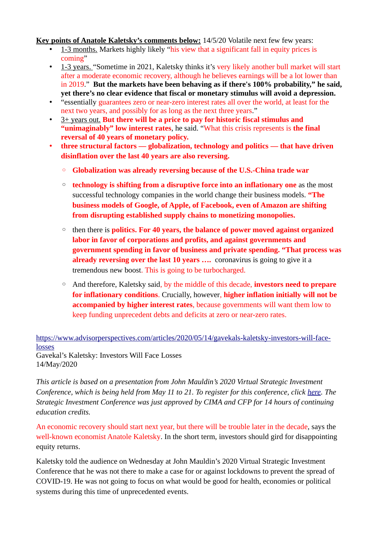**Key points of Anatole Kaletsky's comments below:** 14/5/20 Volatile next few few years:

- 1-3 months. Markets highly likely "his view that a significant fall in equity prices is coming"
- 1-3 years. "Sometime in 2021, Kaletsky thinks it's very likely another bull market will start after a moderate economic recovery, although he believes earnings will be a lot lower than in 2019." **But the markets have been behaving as if there's 100% probability," he said, yet there's no clear evidence that fiscal or monetary stimulus will avoid a depression.**
- "essentially guarantees zero or near-zero interest rates all over the world, at least for the next two years, and possibly for as long as the next three years."
- 3+ years out. **But there will be a price to pay for historic fiscal stimulus and "unimaginably" low interest rates**, he said. "What this crisis represents is **the final reversal of 40 years of monetary policy.**
- **three structural factors globalization, technology and politics that have driven disinflation over the last 40 years are also reversing.**
	- **Globalization was already reversing because of the U.S.-China trade war**
	- **technology is shifting from a disruptive force into an inflationary one** as the most successful technology companies in the world change their business models. **"The business models of Google, of Apple, of Facebook, even of Amazon are shifting from disrupting established supply chains to monetizing monopolies.**
	- then there is **politics. For 40 years, the balance of power moved against organized labor in favor of corporations and profits, and against governments and government spending in favor of business and private spending. "That process was already reversing over the last 10 years ....** coronavirus is going to give it a tremendous new boost. This is going to be turbocharged.
	- And therefore, Kaletsky said, by the middle of this decade, **investors need to prepare for inflationary conditions**. Crucially, however, **higher inflation initially will not be accompanied by higher interest rates**, because governments will want them low to keep funding unprecedent debts and deficits at zero or near-zero rates.

[https://www.advisorperspectives.com/articles/2020/05/14/gavekals-kaletsky-investors-will-face](https://www.advisorperspectives.com/articles/2020/05/14/gavekals-kaletsky-investors-will-face-losses)[losses](https://www.advisorperspectives.com/articles/2020/05/14/gavekals-kaletsky-investors-will-face-losses) Gavekal's Kaletsky: Investors Will Face Losses

14/May/2020

*This article is based on a presentation from John Mauldin's 2020 Virtual Strategic Investment Conference, which is being held from May 11 to 21. To register for this conference, click [here](https://www.mauldineconomics.com/go/jr9qnnwr/APV). The Strategic Investment Conference was just approved by CIMA and CFP for 14 hours of continuing education credits.*

An economic recovery should start next year, but there will be trouble later in the decade, says the well-known economist Anatole Kaletsky. In the short term, investors should gird for disappointing equity returns.

Kaletsky told the audience on Wednesday at John Mauldin's 2020 Virtual Strategic Investment Conference that he was not there to make a case for or against lockdowns to prevent the spread of COVID-19. He was not going to focus on what would be good for health, economies or political systems during this time of unprecedented events.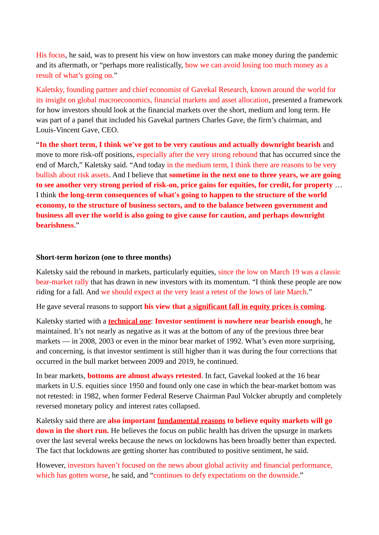His focus, he said, was to present his view on how investors can make money during the pandemic and its aftermath, or "perhaps more realistically, how we can avoid losing too much money as a result of what's going on."

Kaletsky, founding partner and chief economist of Gavekal Research, known around the world for its insight on global macroeconomics, financial markets and asset allocation, presented a framework for how investors should look at the financial markets over the short, medium and long term. He was part of a panel that included his Gavekal partners Charles Gave, the firm's chairman, and Louis-Vincent Gave, CEO.

"**In the short term, I think we've got to be very cautious and actually downright bearish** and move to more risk-off positions, especially after the very strong rebound that has occurred since the end of March," Kaletsky said. "And today in the medium term, I think there are reasons to be very bullish about risk assets. And I believe that **sometime in the next one to three years, we are going to see another very strong period of risk-on, price gains for equities, for credit, for property** … I think **the long-term consequences of what's going to happen to the structure of the world economy, to the structure of business sectors, and to the balance between government and business all over the world is also going to give cause for caution, and perhaps downright bearishness**."

## **Short-term horizon (one to three months)**

Kaletsky said the rebound in markets, particularly equities, since the low on March 19 was a classic bear-market rally that has drawn in new investors with its momentum. "I think these people are now riding for a fall. And we should expect at the very least a retest of the lows of late March."

He gave several reasons to support **his view that a significant fall in equity prices is coming**.

Kaletsky started with a **technical one**: **Investor sentiment is nowhere near bearish enough**, he maintained. It's not nearly as negative as it was at the bottom of any of the previous three bear markets — in 2008, 2003 or even in the minor bear market of 1992. What's even more surprising, and concerning, is that investor sentiment is still higher than it was during the four corrections that occurred in the bull market between 2009 and 2019, he continued.

In bear markets, **bottoms are almost always retested**. In fact, Gavekal looked at the 16 bear markets in U.S. equities since 1950 and found only one case in which the bear-market bottom was not retested: in 1982, when former Federal Reserve Chairman Paul Volcker abruptly and completely reversed monetary policy and interest rates collapsed.

Kaletsky said there are **also important fundamental reasons to believe equity markets will go down in the short run.** He believes the focus on public health has driven the upsurge in markets over the last several weeks because the news on lockdowns has been broadly better than expected. The fact that lockdowns are getting shorter has contributed to positive sentiment, he said.

However, investors haven't focused on the news about global activity and financial performance, which has gotten worse, he said, and "continues to defy expectations on the downside."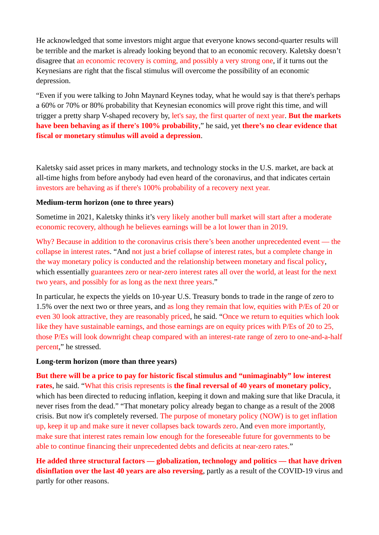He acknowledged that some investors might argue that everyone knows second-quarter results will be terrible and the market is already looking beyond that to an economic recovery. Kaletsky doesn't disagree that an economic recovery is coming, and possibly a very strong one, if it turns out the Keynesians are right that the fiscal stimulus will overcome the possibility of an economic depression.

"Even if you were talking to John Maynard Keynes today, what he would say is that there's perhaps a 60% or 70% or 80% probability that Keynesian economics will prove right this time, and will trigger a pretty sharp V-shaped recovery by, let's say, the first quarter of next year. **But the markets have been behaving as if there's 100% probability**," he said, yet **there's no clear evidence that fiscal or monetary stimulus will avoid a depression**.

Kaletsky said asset prices in many markets, and technology stocks in the U.S. market, are back at all-time highs from before anybody had even heard of the coronavirus, and that indicates certain investors are behaving as if there's 100% probability of a recovery next year.

## **Medium-term horizon (one to three years)**

Sometime in 2021, Kaletsky thinks it's very likely another bull market will start after a moderate economic recovery, although he believes earnings will be a lot lower than in 2019.

Why? Because in addition to the coronavirus crisis there's been another unprecedented event — the collapse in interest rates. "And not just a brief collapse of interest rates, but a complete change in the way monetary policy is conducted and the relationship between monetary and fiscal policy, which essentially guarantees zero or near-zero interest rates all over the world, at least for the next two years, and possibly for as long as the next three years."

In particular, he expects the yields on 10-year U.S. Treasury bonds to trade in the range of zero to 1.5% over the next two or three years, and as long they remain that low, equities with P/Es of 20 or even 30 look attractive, they are reasonably priced, he said. "Once we return to equities which look like they have sustainable earnings, and those earnings are on equity prices with P/Es of 20 to 25, those P/Es will look downright cheap compared with an interest-rate range of zero to one-and-a-half percent," he stressed.

## **Long-term horizon (more than three years)**

**But there will be a price to pay for historic fiscal stimulus and "unimaginably" low interest rates**, he said. "What this crisis represents is **the final reversal of 40 years of monetary policy**, which has been directed to reducing inflation, keeping it down and making sure that like Dracula, it never rises from the dead." "That monetary policy already began to change as a result of the 2008 crisis. But now it's completely reversed. The purpose of monetary policy (NOW) is to get inflation up, keep it up and make sure it never collapses back towards zero. And even more importantly, make sure that interest rates remain low enough for the foreseeable future for governments to be able to continue financing their unprecedented debts and deficits at near-zero rates."

**He added three structural factors — globalization, technology and politics — that have driven disinflation over the last 40 years are also reversing**, partly as a result of the COVID-19 virus and partly for other reasons.